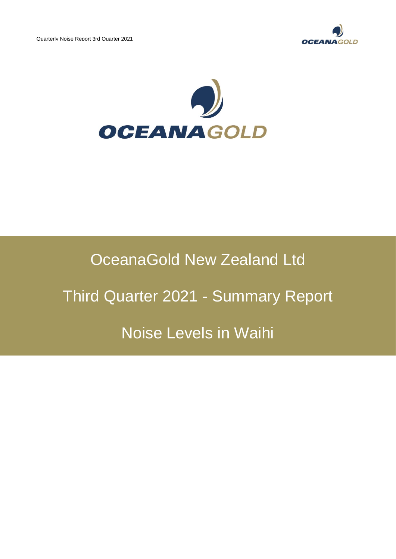



## OceanaGold New Zealand Ltd

# Third Quarter 2021 - Summary Report

## Noise Levels in Waihi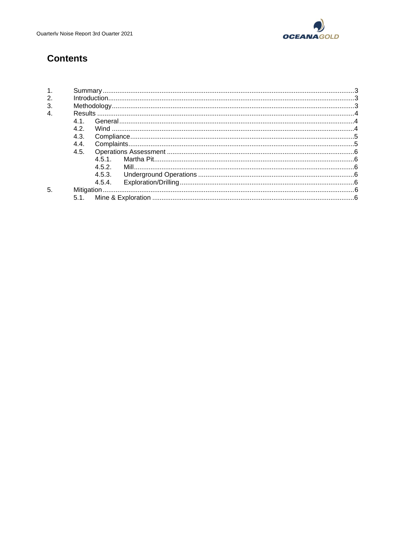

## **Contents**

| $\overline{4}$ |      |        |  |  |  |  |
|----------------|------|--------|--|--|--|--|
|                | 41   |        |  |  |  |  |
|                | 4.2. |        |  |  |  |  |
|                | 4.3. |        |  |  |  |  |
|                | 4.4. |        |  |  |  |  |
|                | 4.5. |        |  |  |  |  |
|                |      | 451    |  |  |  |  |
|                |      | 4.5.2. |  |  |  |  |
|                |      | 4.5.3. |  |  |  |  |
|                |      | 4.5.4. |  |  |  |  |
| 5              |      |        |  |  |  |  |
|                | 5.1  |        |  |  |  |  |
|                |      |        |  |  |  |  |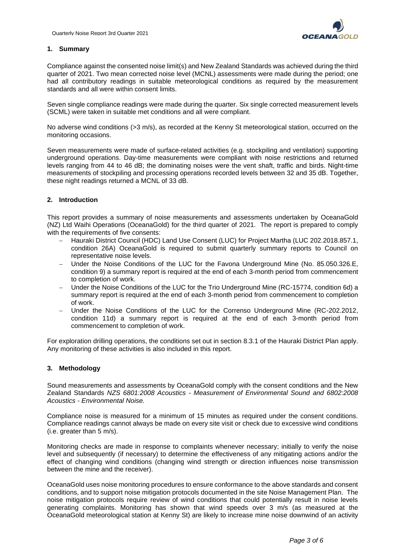

## **1. Summary**

Compliance against the consented noise limit(s) and New Zealand Standards was achieved during the third quarter of 2021. Two mean corrected noise level (MCNL) assessments were made during the period; one had all contributory readings in suitable meteorological conditions as required by the measurement standards and all were within consent limits.

Seven single compliance readings were made during the quarter. Six single corrected measurement levels (SCML) were taken in suitable met conditions and all were compliant.

No adverse wind conditions (>3 m/s), as recorded at the Kenny St meteorological station, occurred on the monitoring occasions.

Seven measurements were made of surface-related activities (e.g. stockpiling and ventilation) supporting underground operations. Day-time measurements were compliant with noise restrictions and returned levels ranging from 44 to 46 dB; the dominating noises were the vent shaft, traffic and birds. Night-time measurements of stockpiling and processing operations recorded levels between 32 and 35 dB. Together, these night readings returned a MCNL of 33 dB.

## **2. Introduction**

This report provides a summary of noise measurements and assessments undertaken by OceanaGold (NZ) Ltd Waihi Operations (OceanaGold) for the third quarter of 2021. The report is prepared to comply with the requirements of five consents:

- − Hauraki District Council (HDC) Land Use Consent (LUC) for Project Martha (LUC 202.2018.857.1, condition 26A) OceanaGold is required to submit quarterly summary reports to Council on representative noise levels.
- − Under the Noise Conditions of the LUC for the Favona Underground Mine (No. 85.050.326.E, condition 9) a summary report is required at the end of each 3-month period from commencement to completion of work.
- − Under the Noise Conditions of the LUC for the Trio Underground Mine (RC-15774, condition 6d) a summary report is required at the end of each 3-month period from commencement to completion of work.
- Under the Noise Conditions of the LUC for the Correnso Underground Mine (RC-202.2012, condition 11d) a summary report is required at the end of each 3-month period from commencement to completion of work.

For exploration drilling operations, the conditions set out in section 8.3.1 of the Hauraki District Plan apply. Any monitoring of these activities is also included in this report.

## **3. Methodology**

Sound measurements and assessments by OceanaGold comply with the consent conditions and the New Zealand Standards *NZS 6801:2008 Acoustics - Measurement of Environmental Sound and 6802:2008 Acoustics - Environmental Noise.*

Compliance noise is measured for a minimum of 15 minutes as required under the consent conditions. Compliance readings cannot always be made on every site visit or check due to excessive wind conditions (i.e. greater than 5 m/s).

Monitoring checks are made in response to complaints whenever necessary; initially to verify the noise level and subsequently (if necessary) to determine the effectiveness of any mitigating actions and/or the effect of changing wind conditions (changing wind strength or direction influences noise transmission between the mine and the receiver).

OceanaGold uses noise monitoring procedures to ensure conformance to the above standards and consent conditions, and to support noise mitigation protocols documented in the site Noise Management Plan. The noise mitigation protocols require review of wind conditions that could potentially result in noise levels generating complaints. Monitoring has shown that wind speeds over 3 m/s (as measured at the OceanaGold meteorological station at Kenny St) are likely to increase mine noise downwind of an activity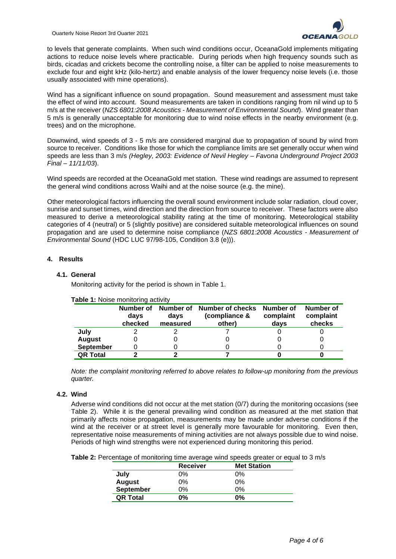

to levels that generate complaints. When such wind conditions occur, OceanaGold implements mitigating actions to reduce noise levels where practicable. During periods when high frequency sounds such as birds, cicadas and crickets become the controlling noise, a filter can be applied to noise measurements to exclude four and eight kHz (kilo-hertz) and enable analysis of the lower frequency noise levels (i.e. those usually associated with mine operations).

Wind has a significant influence on sound propagation. Sound measurement and assessment must take the effect of wind into account. Sound measurements are taken in conditions ranging from nil wind up to 5 m/s at the receiver (*NZS 6801:2008 Acoustics - Measurement of Environmental Sound*). Wind greater than 5 m/s is generally unacceptable for monitoring due to wind noise effects in the nearby environment (e.g. trees) and on the microphone.

Downwind, wind speeds of 3 - 5 m/s are considered marginal due to propagation of sound by wind from source to receiver. Conditions like those for which the compliance limits are set generally occur when wind speeds are less than 3 m/s *(Hegley, 2003: Evidence of Nevil Hegley – Favona Underground Project 2003 Final – 11/11/03*).

Wind speeds are recorded at the OceanaGold met station. These wind readings are assumed to represent the general wind conditions across Waihi and at the noise source (e.g. the mine).

Other meteorological factors influencing the overall sound environment include solar radiation, cloud cover, sunrise and sunset times, wind direction and the direction from source to receiver. These factors were also measured to derive a meteorological stability rating at the time of monitoring. Meteorological stability categories of 4 (neutral) or 5 (slightly positive) are considered suitable meteorological influences on sound propagation and are used to determine noise compliance (*NZS 6801:2008 Acoustics - Measurement of Environmental Sound* (HDC LUC 97/98-105, Condition 3.8 (e))).

## **4. Results**

## **4.1. General**

Monitoring activity for the period is shown in Table 1.

| <b>able 1.</b> INDISE INDITIONING ACTIVITY |                              |                               |                                             |                                |                                  |  |
|--------------------------------------------|------------------------------|-------------------------------|---------------------------------------------|--------------------------------|----------------------------------|--|
|                                            | Number of<br>days<br>checked | Number of<br>days<br>measured | Number of checks<br>(compliance &<br>other) | Number of<br>complaint<br>days | Number of<br>complaint<br>checks |  |
| July                                       |                              |                               |                                             |                                |                                  |  |
| <b>August</b>                              |                              |                               |                                             |                                |                                  |  |
| <b>September</b>                           |                              |                               |                                             |                                |                                  |  |
| <b>QR Total</b>                            |                              |                               |                                             |                                |                                  |  |

**Table 1:** Noise monitoring activity

*Note: the complaint monitoring referred to above relates to follow-up monitoring from the previous quarter.*

## **4.2. Wind**

Adverse wind conditions did not occur at the met station (0/7) during the monitoring occasions (see Table 2). While it is the general prevailing wind condition as measured at the met station that primarily affects noise propagation, measurements may be made under adverse conditions if the wind at the receiver or at street level is generally more favourable for monitoring. Even then, representative noise measurements of mining activities are not always possible due to wind noise. Periods of high wind strengths were not experienced during monitoring this period.

**Table 2:** Percentage of monitoring time average wind speeds greater or equal to 3 m/s

|                 | <b>Receiver</b> | <b>Met Station</b> |
|-----------------|-----------------|--------------------|
| July            | 0%              | 0%                 |
| August          | 0%              | 0%                 |
| September       | 0%              | 0%                 |
| <b>QR Total</b> | 0%              | 0%                 |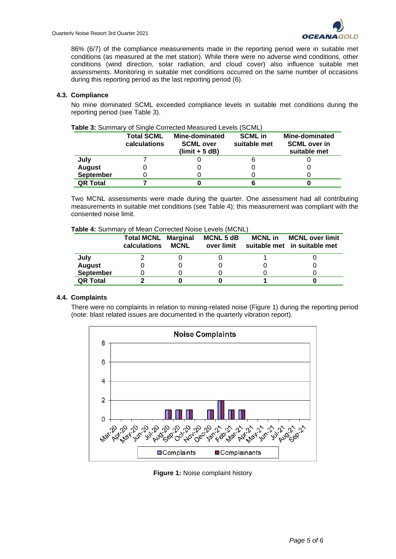86% (6/7) of the compliance measurements made in the reporting period were in suitable met conditions (as measured at the met station). While there were no adverse wind conditions, other conditions (wind direction, solar radiation, and cloud cover) also influence suitable met assessments. Monitoring in suitable met conditions occurred on the same number of occasions during this reporting period as the last reporting period (6).

### **4.3. Compliance**

No mine dominated SCML exceeded compliance levels in suitable met conditions during the reporting period (see Table 3).

|                  | <b>Total SCML</b><br>calculations | <b>Mine-dominated</b><br><b>SCML over</b><br>$(limit + 5 dB)$ | <b>SCML</b> in<br>suitable met | Mine-dominated<br><b>SCML over in</b><br>suitable met |
|------------------|-----------------------------------|---------------------------------------------------------------|--------------------------------|-------------------------------------------------------|
| July             |                                   |                                                               |                                |                                                       |
| <b>August</b>    |                                   |                                                               |                                |                                                       |
| <b>September</b> |                                   |                                                               |                                |                                                       |
| <b>QR Total</b>  |                                   |                                                               |                                |                                                       |

## **Table 3:** Summary of Single Corrected Measured Levels (SCML)

Two MCNL assessments were made during the quarter. One assessment had all contributing measurements in suitable met conditions (see Table 4); this measurement was compliant with the consented noise limit.

#### **Table 4:** Summary of Mean Corrected Noise Levels (MCNL)

|                  | <b>Total MCNL Marginal</b><br>calculations | <b>MCNL</b> | <b>MCNL 5 dB</b><br>over limit | <b>MCNL</b> in | <b>MCNL over limit</b><br>suitable met in suitable met |
|------------------|--------------------------------------------|-------------|--------------------------------|----------------|--------------------------------------------------------|
| July             |                                            |             |                                |                |                                                        |
| <b>August</b>    |                                            |             |                                |                |                                                        |
| <b>September</b> |                                            |             |                                |                |                                                        |
| <b>QR Total</b>  |                                            |             |                                |                |                                                        |

#### **4.4. Complaints**

There were no complaints in relation to mining-related noise (Figure 1) during the reporting period (note: blast related issues are documented in the quarterly vibration report).



**Figure 1:** Noise complaint history